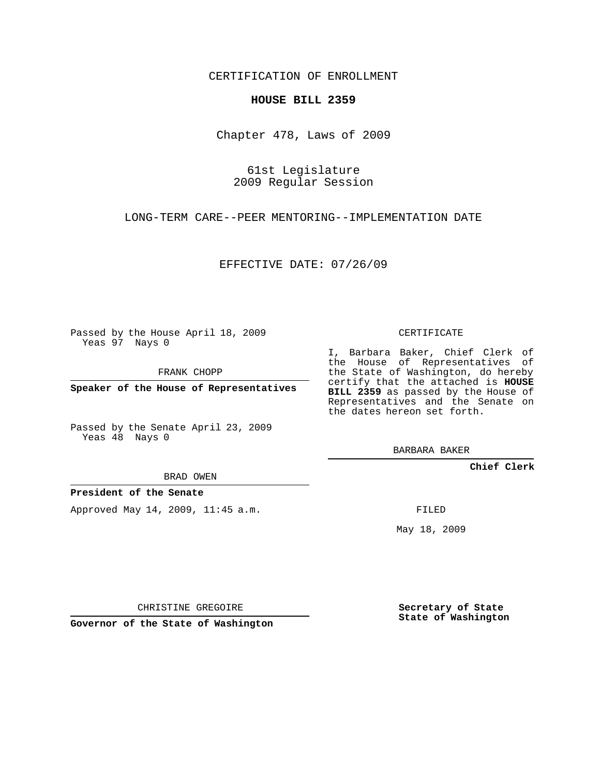CERTIFICATION OF ENROLLMENT

## **HOUSE BILL 2359**

Chapter 478, Laws of 2009

61st Legislature 2009 Regular Session

LONG-TERM CARE--PEER MENTORING--IMPLEMENTATION DATE

EFFECTIVE DATE: 07/26/09

Passed by the House April 18, 2009 Yeas 97 Nays 0

FRANK CHOPP

**Speaker of the House of Representatives**

Passed by the Senate April 23, 2009 Yeas 48 Nays 0

BRAD OWEN

**President of the Senate**

Approved May 14, 2009, 11:45 a.m.

CERTIFICATE

I, Barbara Baker, Chief Clerk of the House of Representatives of the State of Washington, do hereby certify that the attached is **HOUSE BILL 2359** as passed by the House of Representatives and the Senate on the dates hereon set forth.

BARBARA BAKER

**Chief Clerk**

FILED

May 18, 2009

CHRISTINE GREGOIRE

**Governor of the State of Washington**

**Secretary of State State of Washington**